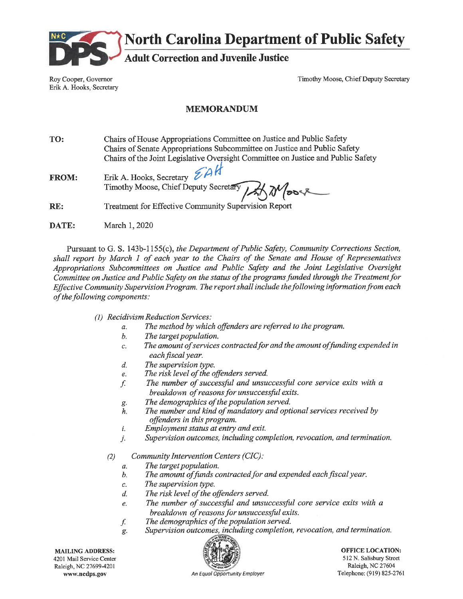

**North Carolina Department of Public Safety** 

**Adult Correction and Juvenile Justice** 

Roy Cooper, Governor Erik A. Hooks, Secretary Timothy Moose, Chief Deputy Secretary

### **MEMORANDUM**

TO: Chairs of House Appropriations Committee on Justice and Public Safety Chairs of Senate Appropriations Subcommittee on Justice and Public Safety Chairs of the Joint Legislative Oversight Committee on Justice and Public Safety

Erik A. Hooks, Secretary  $ZAN$ **FROM:** Timothy Moose, Chief Deputy Secretary

 $RE:$ **Treatment for Effective Community Supervision Report** 

DATE: March 1, 2020

Pursuant to G. S. 143b-1155(c), the Department of Public Safety, Community Corrections Section, shall report by March 1 of each year to the Chairs of the Senate and House of Representatives Appropriations Subcommittees on Justice and Public Safety and the Joint Legislative Oversight Committee on Justice and Public Safety on the status of the programs funded through the Treatment for Effective Community Supervision Program. The report shall include the following information from each of the following components:

- (1) Recidivism Reduction Services:
	- The method by which offenders are referred to the program.  $\alpha$ .
	- $\mathfrak{b}$ . The target population.
	- The amount of services contracted for and the amount of funding expended in  $\overline{c}$ . each fiscal year.
	- The supervision type.  $d.$
	- The risk level of the offenders served. e.
	- The number of successful and unsuccessful core service exits with a f. breakdown of reasons for unsuccessful exits.
	- The demographics of the population served. g.
	- The number and kind of mandatory and optional services received by  $h$ . offenders in this program.
	- Employment status at entry and exit. i.
	- Supervision outcomes, including completion, revocation, and termination. j.
	- $(2)$ Community Intervention Centers (CIC):
		- The target population.  $\overline{a}$ .
		- The amount of funds contracted for and expended each fiscal year. b.
		- The supervision type. c.
		- The risk level of the offenders served.  $d_{\cdot}$
		- The number of successful and unsuccessful core service exits with a e. breakdown of reasons for unsuccessful exits.
		- f. The demographics of the population served.
		- Supervision outcomes, including completion, revocation, and termination. g.

**MAILING ADDRESS:** 4201 Mail Service Center Raleigh, NC 27699-4201 www.nedps.gov



**OFFICE LOCATION:** 512 N. Salisbury Street Raleigh, NC 27604 Telephone: (919) 825-2761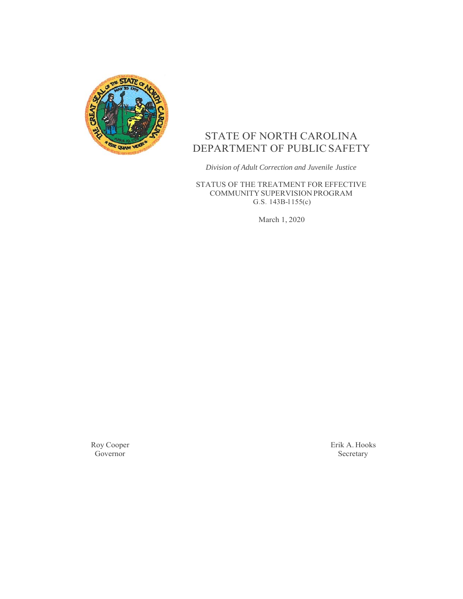

# STATE OF NORTH CAROLINA DEPARTMENT OF PUBLIC SAFETY

*Division of Adult Correction and Juvenile Justice*

STATUS OF THE TREATMENT FOR EFFECTIVE COMMUNITY SUPERVISION PROGRAM G.S. 143B-l 155(c)

March 1, 2020

Roy Cooper Governor

Erik A. Hooks Secretary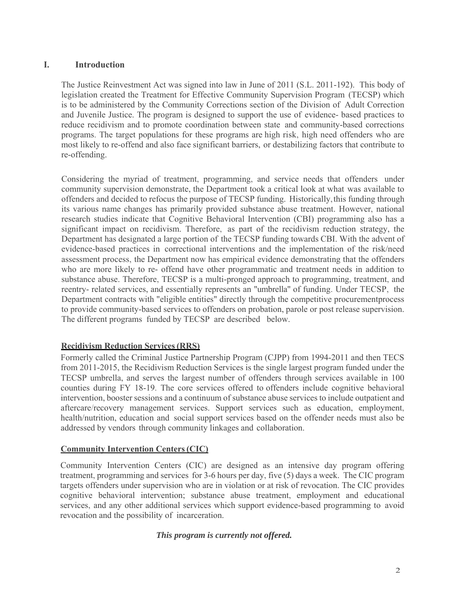### **I. Introduction**

The Justice Reinvestment Act was signed into law in June of 2011 (S.L. 2011-192). This body of legislation created the Treatment for Effective Community Supervision Program (TECSP) which is to be administered by the Community Corrections section of the Division of Adult Correction and Juvenile Justice. The program is designed to support the use of evidence- based practices to reduce recidivism and to promote coordination between state and community-based corrections programs. The target populations for these programs are high risk, high need offenders who are most likely to re-offend and also face significant barriers, or destabilizing factors that contribute to re-offending.

Considering the myriad of treatment, programming, and service needs that offenders under community supervision demonstrate, the Department took a critical look at what was available to offenders and decided to refocus the purpose of TECSP funding. Historically,this funding through its various name changes has primarily provided substance abuse treatment. However, national research studies indicate that Cognitive Behavioral Intervention (CBI) programming also has a significant impact on recidivism. Therefore, as part of the recidivism reduction strategy, the Department has designated a large portion of the TECSP funding towards CBI. With the advent of evidence-based practices in correctional interventions and the implementation of the risk/need assessment process, the Department now has empirical evidence demonstrating that the offenders who are more likely to re- offend have other programmatic and treatment needs in addition to substance abuse. Therefore, TECSP is a multi-pronged approach to programming, treatment, and reentry- related services, and essentially represents an "umbrella" of funding. Under TECSP, the Department contracts with "eligible entities" directly through the competitive procurement process to provide community-based services to offenders on probation, parole or post release supervision. The different programs funded by TECSP are described below.

# **Recidivism Reduction Services (RRS)**

Formerly called the Criminal Justice Partnership Program (CJPP) from 1994-2011 and then TECS from 2011-2015, the Recidivism Reduction Services is the single largest program funded under the TECSP umbrella, and serves the largest number of offenders through services available in 100 counties during FY 18-19. The core services offered to offenders include cognitive behavioral intervention, booster sessions and a continuum of substance abuse services to include outpatient and aftercare/recovery management services. Support services such as education, employment, health/nutrition, education and social support services based on the offender needs must also be addressed by vendors through community linkages and collaboration.

### **Community Intervention Centers (CIC)**

Community Intervention Centers (CIC) are designed as an intensive day program offering treatment, programming and services for 3-6 hours per day, five (5) days a week. The CIC program targets offenders under supervision who are in violation or at risk of revocation. The CIC provides cognitive behavioral intervention; substance abuse treatment, employment and educational services, and any other additional services which support evidence-based programming to avoid revocation and the possibility of incarceration.

### *This program is currently not offered.*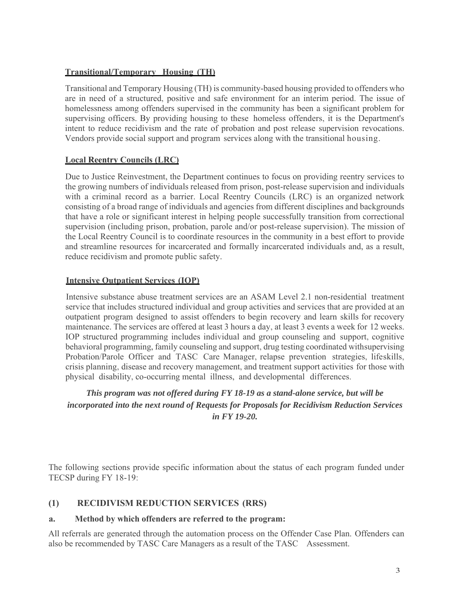# **Transitional/Temporary Housing (TH)**

Transitional and Temporary Housing (TH) is community-based housing provided to offenders who are in need of a structured, positive and safe environment for an interim period. The issue of homelessness among offenders supervised in the community has been a significant problem for supervising officers. By providing housing to these homeless offenders, it is the Department's intent to reduce recidivism and the rate of probation and post release supervision revocations. Vendors provide social support and program services along with the transitional housing.

# **Local Reentry Councils (LRC)**

Due to Justice Reinvestment, the Department continues to focus on providing reentry services to the growing numbers of individuals released from prison, post-release supervision and individuals with a criminal record as a barrier. Local Reentry Councils (LRC) is an organized network consisting of a broad range of individuals and agencies from different disciplines and backgrounds that have a role or significant interest in helping people successfully transition from correctional supervision (including prison, probation, parole and/or post-release supervision). The mission of the Local Reentry Council is to coordinate resources in the community in a best effort to provide and streamline resources for incarcerated and formally incarcerated individuals and, as a result, reduce recidivism and promote public safety.

# **Intensive Outpatient Services (IOP)**

Intensive substance abuse treatment services are an ASAM Level 2.1 non-residential treatment service that includes structured individual and group activities and services that are provided at an outpatient program designed to assist offenders to begin recovery and learn skills for recovery maintenance. The services are offered at least 3 hours a day, at least 3 events a week for 12 weeks. IOP structured programming includes individual and group counseling and support, cognitive behavioral programming, family counseling and support, drug testing coordinated with supervising Probation/Parole Officer and TASC Care Manager, relapse prevention strategies, life skills, crisis planning, disease and recovery management, and treatment support activities for those with physical disability, co-occurring mental illness, and developmental differences.

# *This program was not offered during FY 18-19 as a stand-alone service, but will be incorporated into the next round of Requests for Proposals for Recidivism Reduction Services in FY 19-20.*

The following sections provide specific information about the status of each program funded under TECSP during FY 18-19:

# **(1) RECIDIVISM REDUCTION SERVICES (RRS)**

# **a. Method by which offenders are referred to the program:**

All referrals are generated through the automation process on the Offender Case Plan. Offenders can also be recommended by TASC Care Managers as a result of the TASC Assessment.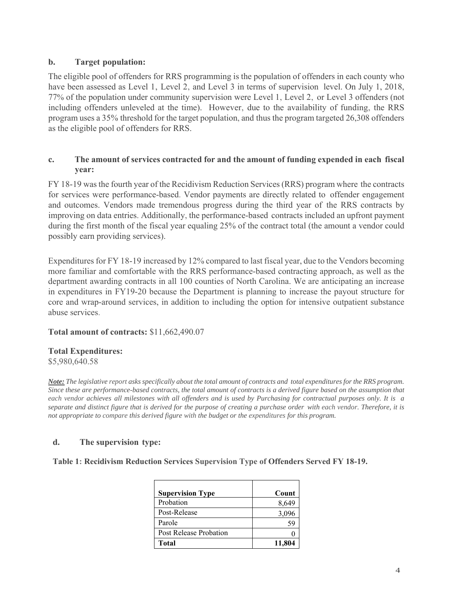### **b. Target population:**

The eligible pool of offenders for RRS programming is the population of offenders in each county who have been assessed as Level 1, Level 2, and Level 3 in terms of supervision level. On July 1, 2018, 77% of the population under community supervision were Level 1, Level 2, or Level 3 offenders (not including offenders unleveled at the time). However, due to the availability of funding, the RRS program uses a 35% threshold for the target population, and thus the program targeted 26,308 offenders as the eligible pool of offenders for RRS.

### **c. The amount of services contracted for and the amount of funding expended in each fiscal year:**

FY 18-19 was the fourth year of the Recidivism Reduction Services (RRS) program where the contracts for services were performance-based. Vendor payments are directly related to offender engagement and outcomes. Vendors made tremendous progress during the third year of the RRS contracts by improving on data entries. Additionally, the performance-based contracts included an upfront payment during the first month of the fiscal year equaling 25% of the contract total (the amount a vendor could possibly earn providing services).

Expenditures for FY 18-19 increased by 12% compared to last fiscal year, due to the Vendors becoming more familiar and comfortable with the RRS performance-based contracting approach, as well as the department awarding contracts in all 100 counties of North Carolina. We are anticipating an increase in expenditures in FY19-20 because the Department is planning to increase the payout structure for core and wrap-around services, in addition to including the option for intensive outpatient substance abuse services.

### **Total amount of contracts:** \$11,662,490.07

#### **Total Expenditures:**

\$5,980,640.58

*Note: The legislative report asks specifically about the total amount of contracts and total expenditures for the RRS program. Since these are performance-based contracts, the total amount of contracts is a derived figure based on the assumption that each vendor achieves all milestones with all offenders and is used by Purchasing for contractual purposes only. It is a separate and distinct figure that is derived for the purpose of creating a purchase order with each vendor. Therefore, it is not appropriate to compare this derived figure with the budget or the expenditures for this program.* 

### **d. The supervision type:**

**Table 1: Recidivism Reduction Services Supervision Type of Offenders Served FY 18-19.** 

| <b>Supervision Type</b> | Count  |
|-------------------------|--------|
| Probation               | 8,649  |
| Post-Release            | 3,096  |
| Parole                  | 59     |
| Post Release Probation  |        |
| Total                   | 11,804 |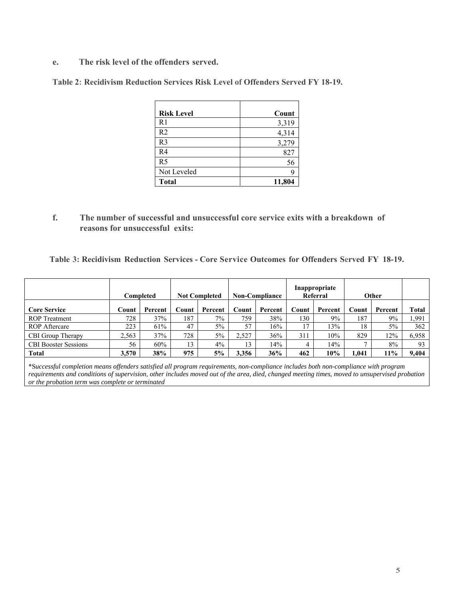**e. The risk level of the offenders served.** 

**Table 2: Recidivism Reduction Services Risk Level of Offenders Served FY 18-19.** 

| <b>Risk Level</b> | Count  |
|-------------------|--------|
|                   |        |
| R1                | 3,319  |
| R <sub>2</sub>    | 4,314  |
| R <sub>3</sub>    | 3,279  |
| R <sub>4</sub>    | 827    |
| R <sub>5</sub>    | 56     |
| Not Leveled       |        |
| <b>Total</b>      | 11,804 |

**f. The number of successful and unsuccessful core service exits with a breakdown of reasons for unsuccessful exits:** 

**Table 3: Recidivism Reduction Services - Core Service Outcomes for Offenders Served FY 18-19.**

|                             |       | Completed | <b>Not Completed</b> |         | <b>Non-Compliance</b> |         | Inappropriate<br>Referral |         | Other |         |       |
|-----------------------------|-------|-----------|----------------------|---------|-----------------------|---------|---------------------------|---------|-------|---------|-------|
| <b>Core Service</b>         | Count | Percent   | Count                | Percent | Count                 | Percent | Count                     | Percent | Count | Percent | Total |
| <b>ROP</b> Treatment        | 728   | 37%       | 187                  | $7\%$   | 759                   | 38%     | 130                       | $9\%$   | 187   | 9%      | 1,991 |
| <b>ROP</b> Aftercare        | 223   | 61%       | 47                   | 5%      | 57                    | 16%     | 17                        | 13%     | 18    | 5%      | 362   |
| CBI Group Therapy           | 2.563 | 37%       | 728                  | 5%      | 2,527                 | 36%     | 311                       | 10%     | 829   | 12%     | 6,958 |
| <b>CBI</b> Booster Sessions | 56    | 60%       | 13                   | 4%      | 13                    | 14%     |                           | 14%     |       | 8%      | 93    |
| Total                       | 3,570 | 38%       | 975                  | 5%      | 3.356                 | 36%     | 462                       | 10%     | 1.041 | 11%     | 9.404 |

\*S*uccessful completion means offenders satisfied all program requirements, non-compliance includes both non-compliance with program requirements and conditions of supervision, other includes moved out of the area, died, changed meeting times, moved to unsupervised probation or the probation term was complete or terminated*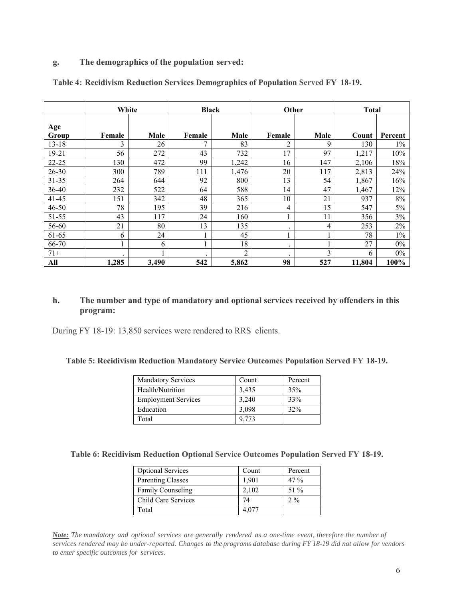#### **g. The demographics of the population served:**

|              | White   |       | <b>Black</b> |                | Other     |      | <b>Total</b> |         |
|--------------|---------|-------|--------------|----------------|-----------|------|--------------|---------|
| Age<br>Group | Female  | Male  | Female       | Male           | Female    | Male | Count        | Percent |
| $13 - 18$    | 3       | 26    |              | 83             |           | 9    | 130          | $1\%$   |
| $19 - 21$    | 56      | 272   | 43           | 732            | 17        | 97   | 1,217        | 10%     |
| $22 - 25$    | 130     | 472   | 99           | 1,242          | 16        | 147  | 2,106        | 18%     |
| $26 - 30$    | 300     | 789   | 111          | 1,476          | 20        | 117  | 2,813        | 24%     |
| $31 - 35$    | 264     | 644   | 92           | 800            | 13        | 54   | 1,867        | 16%     |
| 36-40        | 232     | 522   | 64           | 588            | 14        | 47   | 1,467        | 12%     |
| $41 - 45$    | 151     | 342   | 48           | 365            | 10        | 21   | 937          | $8\%$   |
| $46 - 50$    | 78      | 195   | 39           | 216            | 4         | 15   | 547          | 5%      |
| 51-55        | 43      | 117   | 24           | 160            |           | 11   | 356          | 3%      |
| 56-60        | 21      | 80    | 13           | 135            | $\bullet$ | 4    | 253          | 2%      |
| 61-65        | 6       | 24    |              | 45             |           |      | 78           | $1\%$   |
| 66-70        |         | 6     |              | 18             | ٠         |      | 27           | $0\%$   |
| $71+$        | $\cdot$ |       |              | $\mathfrak{D}$ |           | 3    | 6            | $0\%$   |
| All          | 1,285   | 3,490 | 542          | 5,862          | 98        | 527  | 11,804       | 100%    |

**Table 4: Recidivism Reduction Services Demographics of Population Served FY 18-19.** 

### **h. The number and type of mandatory and optional services received by offenders in this program:**

During FY 18-19: 13,850 services were rendered to RRS clients.

#### **Table 5: Recidivism Reduction Mandatory Service Outcomes Population Served FY 18-19.**

| <b>Mandatory Services</b>  | Count | Percent |
|----------------------------|-------|---------|
| Health/Nutrition           | 3.435 | 35%     |
| <b>Employment Services</b> | 3,240 | 33%     |
| Education                  | 3,098 | 32%     |
| Total                      | 9.773 |         |

**Table 6: Recidivism Reduction Optional Service Outcomes Population Served FY 18-19.**

| <b>Optional Services</b> | Count | Percent |
|--------------------------|-------|---------|
| <b>Parenting Classes</b> | 1,901 | $47\%$  |
| <b>Family Counseling</b> | 2,102 | 51 %    |
| Child Care Services      | 74    | $2\%$   |
| Total                    | 4.077 |         |

*Note: The mandatory and optional services are generally rendered as a one-time event, therefore the number of services rendered may be under-reported. Changes to the programs database during FY 18-19 did not allow for vendors to enter specific outcomes for services.*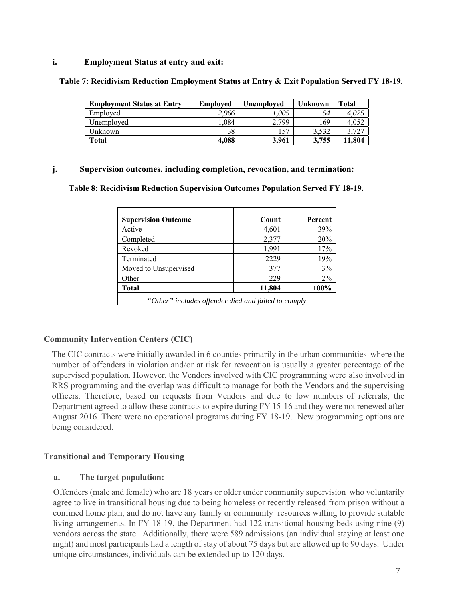### **i. Employment Status at entry and exit:**

**Table 7: Recidivism Reduction Employment Status at Entry & Exit Population Served FY 18-19.** 

| <b>Employment Status at Entry</b> | <b>Employed</b> | Unemploved | Unknown | Total  |
|-----------------------------------|-----------------|------------|---------|--------|
| Employed                          | 2.966           | 1.005      | 54      | 4.025  |
| Unemployed                        | .,084           | 2.799      | 169     | 4.052  |
| Unknown                           | 38              | 157        | 3.532   | .727   |
| Total                             | 4.088           | 3.961      | 3,755   | 11.804 |

#### **j. Supervision outcomes, including completion, revocation, and termination:**

 **Table 8: Recidivism Reduction Supervision Outcomes Population Served FY 18-19.** 

| <b>Supervision Outcome</b>                          | Count  | Percent |  |  |  |  |
|-----------------------------------------------------|--------|---------|--|--|--|--|
| Active                                              | 4,601  | 39%     |  |  |  |  |
| Completed                                           | 2,377  | 20%     |  |  |  |  |
| Revoked                                             | 1,991  | 17%     |  |  |  |  |
| Terminated                                          | 2229   | 19%     |  |  |  |  |
| Moved to Unsupervised                               | 377    | 3%      |  |  |  |  |
| Other                                               | 229    | $2\%$   |  |  |  |  |
| <b>Total</b>                                        | 11,804 | 100%    |  |  |  |  |
| "Other" includes offender died and failed to comply |        |         |  |  |  |  |

#### **Community Intervention Centers (CIC)**

The CIC contracts were initially awarded in 6 counties primarily in the urban communities where the number of offenders in violation and/or at risk for revocation is usually a greater percentage of the supervised population. However, the Vendors involved with CIC programming were also involved in RRS programming and the overlap was difficult to manage for both the Vendors and the supervising officers. Therefore, based on requests from Vendors and due to low numbers of referrals, the Department agreed to allow these contracts to expire during FY 15-16 and they were not renewed after August 2016. There were no operational programs during FY 18-19. New programming options are being considered.

#### **Transitional and Temporary Housing**

#### **a. The target population:**

Offenders (male and female) who are 18 years or older under community supervision who voluntarily agree to live in transitional housing due to being homeless or recently released from prison without a confined home plan, and do not have any family or community resources willing to provide suitable living arrangements. In FY 18-19, the Department had 122 transitional housing beds using nine (9) vendors across the state. Additionally, there were 589 admissions (an individual staying at least one night) and most participants had a length of stay of about 75 days but are allowed up to 90 days. Under unique circumstances, individuals can be extended up to 120 days.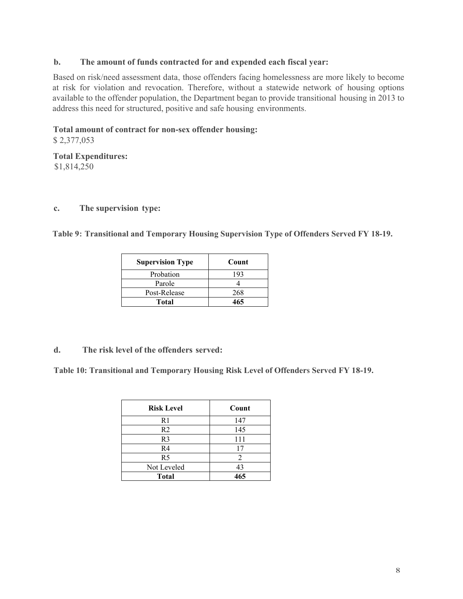### **b. The amount of funds contracted for and expended each fiscal year:**

Based on risk/need assessment data, those offenders facing homelessness are more likely to become at risk for violation and revocation. Therefore, without a statewide network of housing options available to the offender population, the Department began to provide transitional housing in 2013 to address this need for structured, positive and safe housing environments.

### **Total amount of contract for non-sex offender housing:**

\$ 2,377,053

#### **Total Expenditures:**  \$1,814,250

#### **c. The supervision type:**

**Table 9: Transitional and Temporary Housing Supervision Type of Offenders Served FY 18-19.**

| <b>Supervision Type</b> | Count |
|-------------------------|-------|
| Probation               | 193   |
| Parole                  |       |
| Post-Release            | 268   |
| <b>Total</b>            | 465   |

#### **d. The risk level of the offenders served:**

**Table 10: Transitional and Temporary Housing Risk Level of Offenders Served FY 18-19.** 

| <b>Risk Level</b> | Count |
|-------------------|-------|
| R <sub>1</sub>    | 147   |
| R <sub>2</sub>    | 145   |
| R <sub>3</sub>    | 111   |
| R <sub>4</sub>    | 17    |
| R <sub>5</sub>    |       |
| Not Leveled       | 43    |
| Total             | 465   |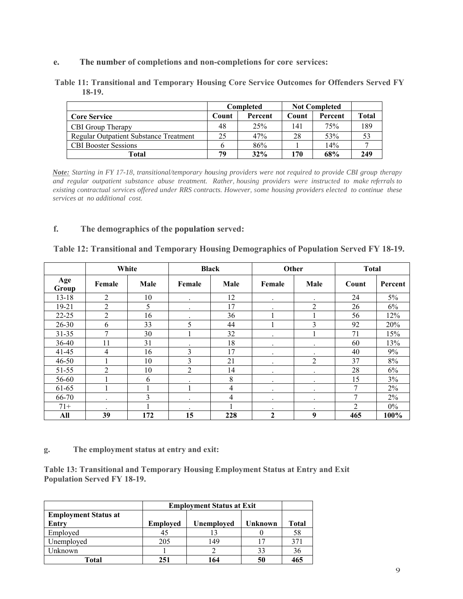**e. The number of completions and non-completions for core services:** 

**Table 11: Transitional and Temporary Housing Core Service Outcomes for Offenders Served FY 18-19.**

|                                        | <b>Not Completed</b><br>Completed |         |       |         |              |
|----------------------------------------|-----------------------------------|---------|-------|---------|--------------|
| <b>Core Service</b>                    | Count                             | Percent | Count | Percent | <b>Total</b> |
| CBI Group Therapy                      | 48                                | 25%     | 141   | 75%     | 189          |
| Regular Outpatient Substance Treatment | 25                                | 47%     | 28    | 53%     | 53           |
| <b>CBI Booster Sessions</b>            |                                   | 86%     |       | 14%     |              |
| Total                                  | 79                                | 32%     | 170   | 68%     | 249          |

*Note: Starting in FY 17-18, transitional/temporary housing providers were not required to provide CBI group therapy and regular outpatient substance abuse treatment. Rather, housing providers were instructed to make referrals to existing contractual services offered under RRS contracts. However, some housing providers elected to continue these services at no additional cost.*

### **f. The demographics of the population served:**

**Table 12: Transitional and Temporary Housing Demographics of Population Served FY 18-19.** 

|              | White   |      |           | <b>Black</b>            | Other        |                | <b>Total</b> |         |
|--------------|---------|------|-----------|-------------------------|--------------|----------------|--------------|---------|
| Age<br>Group | Female  | Male | Female    | Male                    | Female       | Male           | Count        | Percent |
| $13 - 18$    | 2       | 10   | $\cdot$   | 12                      | $\bullet$    | $\bullet$      | 24           | 5%      |
| $19 - 21$    | 2       | 5    | $\bullet$ | 17                      | ٠            | $\overline{2}$ | 26           | 6%      |
| $22 - 25$    | 2       | 16   | ٠         | 36                      |              |                | 56           | 12%     |
| $26 - 30$    | 6       | 33   | 5         | 44                      |              | 3              | 92           | 20%     |
| $31 - 35$    | 7       | 30   |           | 32                      |              |                | 71           | 15%     |
| 36-40        | 11      | 31   |           | 18                      | ٠            | $\bullet$      | 60           | 13%     |
| $41 - 45$    | 4       | 16   | 3         | 17                      | ٠            | $\bullet$      | 40           | 9%      |
| $46 - 50$    |         | 10   | 3         | 21                      |              | 2              | 37           | 8%      |
| 51-55        | 2       | 10   | 2         | 14                      |              | $\cdot$        | 28           | 6%      |
| 56-60        |         | 6    |           | 8                       | ٠            | $\cdot$        | 15           | 3%      |
| 61-65        |         |      |           | $\overline{\mathbf{4}}$ | ٠            | $\bullet$      | 7            | 2%      |
| 66-70        | $\cdot$ | 3    | $\cdot$   | 4                       | ٠            | $\cdot$        | 7            | 2%      |
| $71+$        | ٠       |      |           |                         | $\bullet$    | $\bullet$      | 2            | $0\%$   |
| All          | 39      | 172  | 15        | 228                     | $\mathbf{2}$ | 9              | 465          | 100%    |

**g. The employment status at entry and exit:** 

**Table 13: Transitional and Temporary Housing Employment Status at Entry and Exit Population Served FY 18-19.** 

|                             | <b>Employment Status at Exit</b> |            |         |       |
|-----------------------------|----------------------------------|------------|---------|-------|
| <b>Employment Status at</b> |                                  |            |         |       |
| Entry                       | <b>Employed</b>                  | Unemployed | Unknown | Total |
| Employed                    | 45                               |            |         | 58    |
| Unemployed                  | 205                              | 149        |         | 371   |
| Unknown                     |                                  |            | 33      | 36    |
| Total                       | 251                              | 64         | 50      | 465   |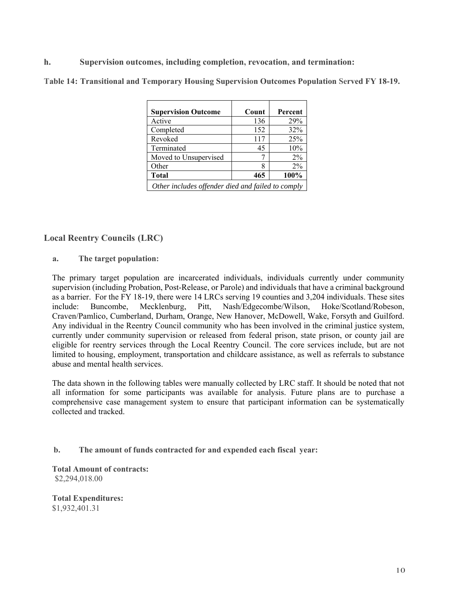### **h. Supervision outcomes, including completion, revocation, and termination:**

**Table 14: Transitional and Temporary Housing Supervision Outcomes Population Served FY 18-19.** 

| <b>Supervision Outcome</b>                        | Count | Percent |
|---------------------------------------------------|-------|---------|
| Active                                            | 136   | 29%     |
| Completed                                         | 152   | 32%     |
| Revoked                                           | 117   | 25%     |
| Terminated                                        | 45    | 10%     |
| Moved to Unsupervised                             |       | $2\%$   |
| Other                                             |       | $2\%$   |
| <b>Total</b>                                      | 465   | 100%    |
| Other includes offender died and failed to comply |       |         |

### **Local Reentry Councils (LRC)**

**a. The target population:**

The primary target population are incarcerated individuals, individuals currently under community supervision (including Probation, Post-Release, or Parole) and individuals that have a criminal background as a barrier. For the FY 18-19, there were 14 LRCs serving 19 counties and 3,204 individuals. These sites include: Buncombe, Mecklenburg, Pitt, Nash/Edgecombe/Wilson, Hoke/Scotland/Robeson, Craven/Pamlico, Cumberland, Durham, Orange, New Hanover, McDowell, Wake, Forsyth and Guilford. Any individual in the Reentry Council community who has been involved in the criminal justice system, currently under community supervision or released from federal prison, state prison, or county jail are eligible for reentry services through the Local Reentry Council. The core services include, but are not limited to housing, employment, transportation and childcare assistance, as well as referrals to substance abuse and mental health services.

The data shown in the following tables were manually collected by LRC staff. It should be noted that not all information for some participants was available for analysis. Future plans are to purchase a comprehensive case management system to ensure that participant information can be systematically collected and tracked.

#### **b. The amount of funds contracted for and expended each fiscal year:**

**Total Amount of contracts:** \$2,294,018.00

**Total Expenditures:**  \$1,932,401.31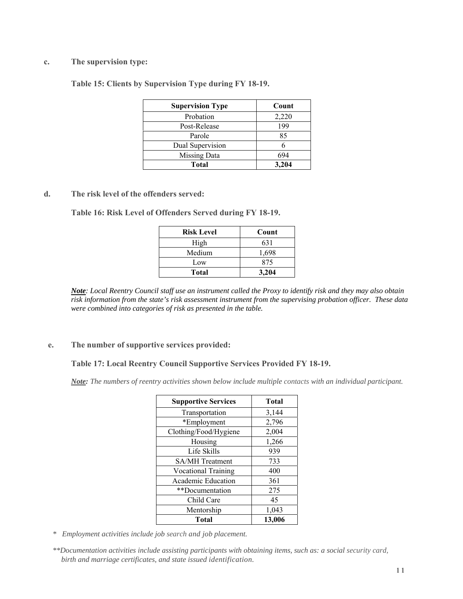#### **c. The supervision type:**

**Table 15: Clients by Supervision Type during FY 18-19.** 

| <b>Supervision Type</b> | Count |
|-------------------------|-------|
| Probation               | 2,220 |
| Post-Release            | 199   |
| Parole                  | 85    |
| Dual Supervision        |       |
| <b>Missing Data</b>     | 694   |
| Total                   | 3.204 |

#### **d. The risk level of the offenders served:**

**Table 16: Risk Level of Offenders Served during FY 18-19.** 

| <b>Risk Level</b> | Count |
|-------------------|-------|
| High              | 631   |
| Medium            | 1,698 |
| Low               | 875   |
| <b>Total</b>      | 3.204 |

*Note: Local Reentry Council staff use an instrument called the Proxy to identify risk and they may also obtain risk information from the state's risk assessment instrument from the supervising probation officer. These data were combined into categories of risk as presented in the table.* 

#### **e. The number of supportive services provided:**

#### **Table 17: Local Reentry Council Supportive Services Provided FY 18-19.**

*Note: The numbers of reentry activities shown below include multiple contacts with an individual participant.*

| <b>Supportive Services</b> | <b>Total</b> |
|----------------------------|--------------|
| Transportation             | 3,144        |
| *Employment                | 2,796        |
| Clothing/Food/Hygiene      | 2,004        |
| Housing                    | 1,266        |
| Life Skills                | 939          |
| <b>SA/MH</b> Treatment     | 733          |
| <b>Vocational Training</b> | 400          |
| <b>Academic Education</b>  | 361          |
| **Documentation            | 275          |
| Child Care                 | 45           |
| Mentorship                 | 1,043        |
| Total                      | 13,006       |

*\* Employment activities include job search and job placement.* 

*<sup>\*\*</sup>Documentation activities include assisting participants with obtaining items, such as: a social security card, birth and marriage certificates, and state issued identification.*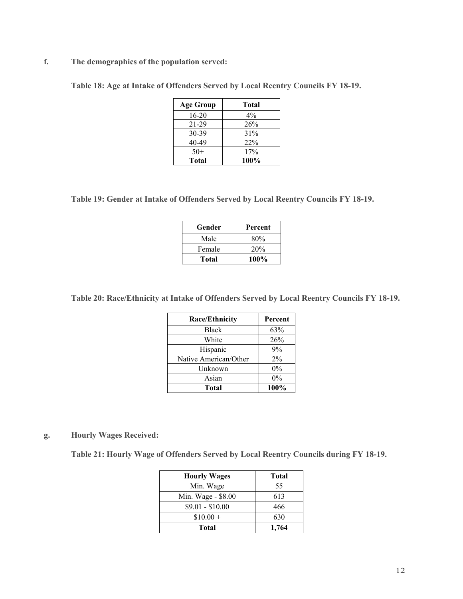**f. The demographics of the population served:** 

**Table 18: Age at Intake of Offenders Served by Local Reentry Councils FY 18-19.** 

| <b>Age Group</b> | <b>Total</b> |
|------------------|--------------|
| 16-20            | $4\%$        |
| 21-29            | 26%          |
| 30-39            | 31%          |
| 40-49            | 22%          |
| $50+$            | 17%          |
| Total            | 100%         |

**Table 19: Gender at Intake of Offenders Served by Local Reentry Councils FY 18-19.** 

| Gender | Percent |
|--------|---------|
| Male   | 80%     |
| Female | 20%     |
| Total  | 100%    |

**Table 20: Race/Ethnicity at Intake of Offenders Served by Local Reentry Councils FY 18-19.** 

| <b>Race/Ethnicity</b> | Percent |
|-----------------------|---------|
| <b>Black</b>          | 63%     |
| White                 | 26%     |
| Hispanic              | 9%      |
| Native American/Other | $2\%$   |
| Unknown               | $0\%$   |
| Asian                 | $0\%$   |
| <b>Total</b>          | 100%    |

# **g. Hourly Wages Received:**

**Table 21: Hourly Wage of Offenders Served by Local Reentry Councils during FY 18-19.** 

| <b>Hourly Wages</b> | Total |
|---------------------|-------|
| Min. Wage           | 55    |
| Min. Wage - \$8.00  | 613   |
| $$9.01 - $10.00$    | 466   |
| $$10.00 +$          | 630   |
| <b>Total</b>        | 1,764 |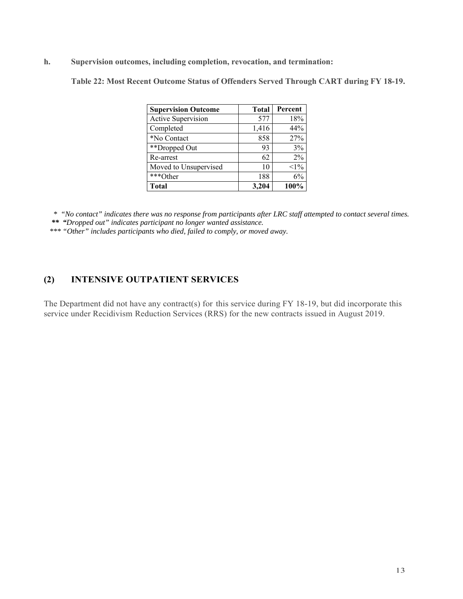**h. Supervision outcomes, including completion, revocation, and termination:** 

**Table 22: Most Recent Outcome Status of Offenders Served Through CART during FY 18-19.** 

| <b>Supervision Outcome</b> | <b>Total</b> | Percent |
|----------------------------|--------------|---------|
| Active Supervision         | 577          | 18%     |
| Completed                  | 1,416        | 44%     |
| *No Contact                | 858          | 27%     |
| **Dropped Out              | 93           | 3%      |
| Re-arrest                  | 62           | $2\%$   |
| Moved to Unsupervised      | 10           | $<1\%$  |
| ***Other                   | 188          | 6%      |
| <b>Total</b>               | 3,204        | 100%    |

 *\* "No contact" indicates there was no response from participants after LRC staff attempted to contact several times. \*\* "Dropped out" indicates participant no longer wanted assistance.*

 *\*\*\* "Other" includes participants who died, failed to comply, or moved away.* 

# **(2) INTENSIVE OUTPATIENT SERVICES**

The Department did not have any contract(s) for this service during FY 18-19, but did incorporate this service under Recidivism Reduction Services (RRS) for the new contracts issued in August 2019.